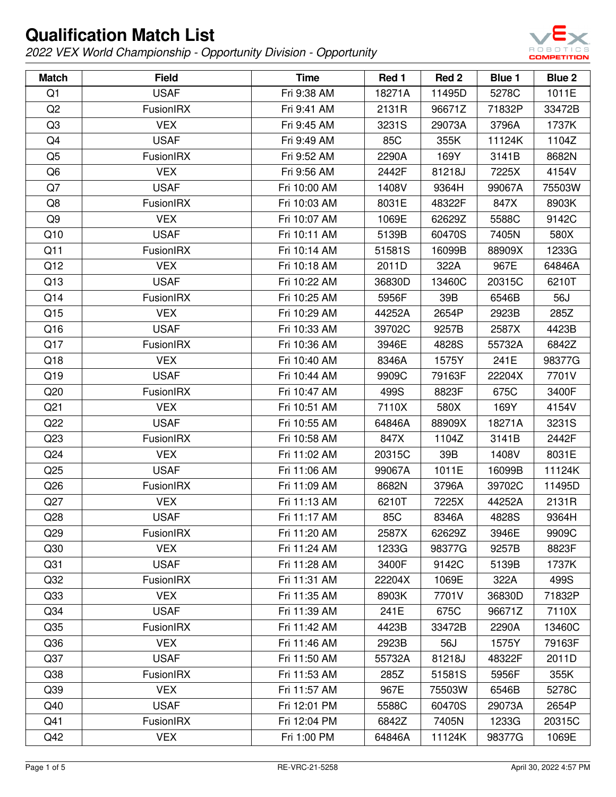

| <b>Match</b>    | <b>Field</b>     | <b>Time</b>  | Red 1  | Red <sub>2</sub> | Blue 1 | Blue 2 |
|-----------------|------------------|--------------|--------|------------------|--------|--------|
| Q1              | <b>USAF</b>      | Fri 9:38 AM  | 18271A | 11495D           | 5278C  | 1011E  |
| Q <sub>2</sub>  | <b>FusionIRX</b> | Fri 9:41 AM  | 2131R  | 96671Z           | 71832P | 33472B |
| Q3              | <b>VEX</b>       | Fri 9:45 AM  | 3231S  | 29073A           | 3796A  | 1737K  |
| Q4              | <b>USAF</b>      | Fri 9:49 AM  | 85C    | 355K             | 11124K | 1104Z  |
| Q <sub>5</sub>  | <b>FusionIRX</b> | Fri 9:52 AM  | 2290A  | 169Y             | 3141B  | 8682N  |
| Q6              | <b>VEX</b>       | Fri 9:56 AM  | 2442F  | 81218J           | 7225X  | 4154V  |
| Q7              | <b>USAF</b>      | Fri 10:00 AM | 1408V  | 9364H            | 99067A | 75503W |
| Q8              | <b>FusionIRX</b> | Fri 10:03 AM | 8031E  | 48322F           | 847X   | 8903K  |
| Q9              | <b>VEX</b>       | Fri 10:07 AM | 1069E  | 62629Z           | 5588C  | 9142C  |
| Q10             | <b>USAF</b>      | Fri 10:11 AM | 5139B  | 60470S           | 7405N  | 580X   |
| Q11             | <b>FusionIRX</b> | Fri 10:14 AM | 51581S | 16099B           | 88909X | 1233G  |
| Q12             | <b>VEX</b>       | Fri 10:18 AM | 2011D  | 322A             | 967E   | 64846A |
| Q13             | <b>USAF</b>      | Fri 10:22 AM | 36830D | 13460C           | 20315C | 6210T  |
| Q14             | <b>FusionIRX</b> | Fri 10:25 AM | 5956F  | 39B              | 6546B  | 56J    |
| Q15             | <b>VEX</b>       | Fri 10:29 AM | 44252A | 2654P            | 2923B  | 285Z   |
| Q16             | <b>USAF</b>      | Fri 10:33 AM | 39702C | 9257B            | 2587X  | 4423B  |
| Q17             | FusionIRX        | Fri 10:36 AM | 3946E  | 4828S            | 55732A | 6842Z  |
| Q18             | <b>VEX</b>       | Fri 10:40 AM | 8346A  | 1575Y            | 241E   | 98377G |
| Q19             | <b>USAF</b>      | Fri 10:44 AM | 9909C  | 79163F           | 22204X | 7701V  |
| Q20             | FusionIRX        | Fri 10:47 AM | 499S   | 8823F            | 675C   | 3400F  |
| Q <sub>21</sub> | <b>VEX</b>       | Fri 10:51 AM | 7110X  | 580X             | 169Y   | 4154V  |
| Q22             | <b>USAF</b>      | Fri 10:55 AM | 64846A | 88909X           | 18271A | 3231S  |
| Q <sub>23</sub> | <b>FusionIRX</b> | Fri 10:58 AM | 847X   | 1104Z            | 3141B  | 2442F  |
| Q <sub>24</sub> | <b>VEX</b>       | Fri 11:02 AM | 20315C | 39B              | 1408V  | 8031E  |
| Q25             | <b>USAF</b>      | Fri 11:06 AM | 99067A | 1011E            | 16099B | 11124K |
| Q26             | FusionIRX        | Fri 11:09 AM | 8682N  | 3796A            | 39702C | 11495D |
| Q27             | <b>VEX</b>       | Fri 11:13 AM | 6210T  | 7225X            | 44252A | 2131R  |
| Q28             | <b>USAF</b>      | Fri 11:17 AM | 85C    | 8346A            | 4828S  | 9364H  |
| Q <sub>29</sub> | <b>FusionIRX</b> | Fri 11:20 AM | 2587X  | 62629Z           | 3946E  | 9909C  |
| Q <sub>30</sub> | <b>VEX</b>       | Fri 11:24 AM | 1233G  | 98377G           | 9257B  | 8823F  |
| Q <sub>31</sub> | <b>USAF</b>      | Fri 11:28 AM | 3400F  | 9142C            | 5139B  | 1737K  |
| Q <sub>32</sub> | FusionIRX        | Fri 11:31 AM | 22204X | 1069E            | 322A   | 499S   |
| Q <sub>33</sub> | <b>VEX</b>       | Fri 11:35 AM | 8903K  | 7701V            | 36830D | 71832P |
| Q <sub>34</sub> | <b>USAF</b>      | Fri 11:39 AM | 241E   | 675C             | 96671Z | 7110X  |
| Q <sub>35</sub> | FusionIRX        | Fri 11:42 AM | 4423B  | 33472B           | 2290A  | 13460C |
| Q36             | <b>VEX</b>       | Fri 11:46 AM | 2923B  | 56J              | 1575Y  | 79163F |
| Q <sub>37</sub> | <b>USAF</b>      | Fri 11:50 AM | 55732A | 81218J           | 48322F | 2011D  |
| Q <sub>38</sub> | <b>FusionIRX</b> | Fri 11:53 AM | 285Z   | 51581S           | 5956F  | 355K   |
| Q39             | <b>VEX</b>       | Fri 11:57 AM | 967E   | 75503W           | 6546B  | 5278C  |
| Q40             | <b>USAF</b>      | Fri 12:01 PM | 5588C  | 60470S           | 29073A | 2654P  |
| Q41             | <b>FusionIRX</b> | Fri 12:04 PM | 6842Z  | 7405N            | 1233G  | 20315C |
| Q42             | <b>VEX</b>       | Fri 1:00 PM  | 64846A | 11124K           | 98377G | 1069E  |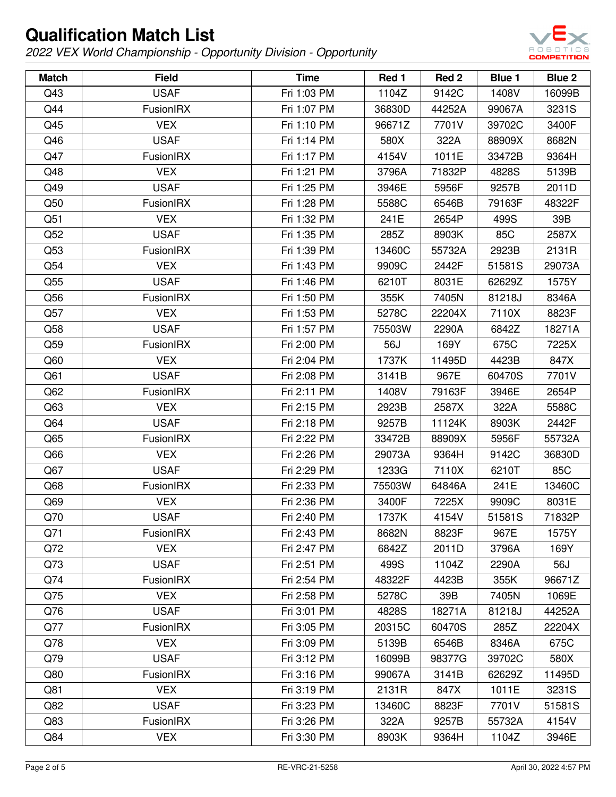

| <b>Match</b> | <b>Field</b>     | <b>Time</b> | Red 1  | Red <sub>2</sub> | Blue 1 | <b>Blue 2</b> |
|--------------|------------------|-------------|--------|------------------|--------|---------------|
| Q43          | <b>USAF</b>      | Fri 1:03 PM | 1104Z  | 9142C            | 1408V  | 16099B        |
| Q44          | FusionIRX        | Fri 1:07 PM | 36830D | 44252A           | 99067A | 3231S         |
| Q45          | <b>VEX</b>       | Fri 1:10 PM | 96671Z | 7701V            | 39702C | 3400F         |
| Q46          | <b>USAF</b>      | Fri 1:14 PM | 580X   | 322A             | 88909X | 8682N         |
| Q47          | <b>FusionIRX</b> | Fri 1:17 PM | 4154V  | 1011E            | 33472B | 9364H         |
| Q48          | <b>VEX</b>       | Fri 1:21 PM | 3796A  | 71832P           | 4828S  | 5139B         |
| Q49          | <b>USAF</b>      | Fri 1:25 PM | 3946E  | 5956F            | 9257B  | 2011D         |
| Q50          | FusionIRX        | Fri 1:28 PM | 5588C  | 6546B            | 79163F | 48322F        |
| Q51          | <b>VEX</b>       | Fri 1:32 PM | 241E   | 2654P            | 499S   | 39B           |
| Q52          | <b>USAF</b>      | Fri 1:35 PM | 285Z   | 8903K            | 85C    | 2587X         |
| Q53          | FusionIRX        | Fri 1:39 PM | 13460C | 55732A           | 2923B  | 2131R         |
| Q54          | <b>VEX</b>       | Fri 1:43 PM | 9909C  | 2442F            | 51581S | 29073A        |
| Q55          | <b>USAF</b>      | Fri 1:46 PM | 6210T  | 8031E            | 62629Z | 1575Y         |
| Q56          | FusionIRX        | Fri 1:50 PM | 355K   | 7405N            | 81218J | 8346A         |
| Q57          | <b>VEX</b>       | Fri 1:53 PM | 5278C  | 22204X           | 7110X  | 8823F         |
| Q58          | <b>USAF</b>      | Fri 1:57 PM | 75503W | 2290A            | 6842Z  | 18271A        |
| Q59          | FusionIRX        | Fri 2:00 PM | 56J    | 169Y             | 675C   | 7225X         |
| Q60          | <b>VEX</b>       | Fri 2:04 PM | 1737K  | 11495D           | 4423B  | 847X          |
| Q61          | <b>USAF</b>      | Fri 2:08 PM | 3141B  | 967E             | 60470S | 7701V         |
| Q62          | <b>FusionIRX</b> | Fri 2:11 PM | 1408V  | 79163F           | 3946E  | 2654P         |
| Q63          | <b>VEX</b>       | Fri 2:15 PM | 2923B  | 2587X            | 322A   | 5588C         |
| Q64          | <b>USAF</b>      | Fri 2:18 PM | 9257B  | 11124K           | 8903K  | 2442F         |
| Q65          | FusionIRX        | Fri 2:22 PM | 33472B | 88909X           | 5956F  | 55732A        |
| Q66          | <b>VEX</b>       | Fri 2:26 PM | 29073A | 9364H            | 9142C  | 36830D        |
| Q67          | <b>USAF</b>      | Fri 2:29 PM | 1233G  | 7110X            | 6210T  | 85C           |
| Q68          | FusionIRX        | Fri 2:33 PM | 75503W | 64846A           | 241E   | 13460C        |
| Q69          | <b>VEX</b>       | Fri 2:36 PM | 3400F  | 7225X            | 9909C  | 8031E         |
| Q70          | <b>USAF</b>      | Fri 2:40 PM | 1737K  | 4154V            | 51581S | 71832P        |
| Q71          | FusionIRX        | Fri 2:43 PM | 8682N  | 8823F            | 967E   | 1575Y         |
| Q72          | <b>VEX</b>       | Fri 2:47 PM | 6842Z  | 2011D            | 3796A  | 169Y          |
| Q73          | <b>USAF</b>      | Fri 2:51 PM | 499S   | 1104Z            | 2290A  | 56J           |
| Q74          | FusionIRX        | Fri 2:54 PM | 48322F | 4423B            | 355K   | 96671Z        |
| Q75          | <b>VEX</b>       | Fri 2:58 PM | 5278C  | 39B              | 7405N  | 1069E         |
| Q76          | <b>USAF</b>      | Fri 3:01 PM | 4828S  | 18271A           | 81218J | 44252A        |
| Q77          | <b>FusionIRX</b> | Fri 3:05 PM | 20315C | 60470S           | 285Z   | 22204X        |
| Q78          | <b>VEX</b>       | Fri 3:09 PM | 5139B  | 6546B            | 8346A  | 675C          |
| Q79          | <b>USAF</b>      | Fri 3:12 PM | 16099B | 98377G           | 39702C | 580X          |
| Q80          | FusionIRX        | Fri 3:16 PM | 99067A | 3141B            | 62629Z | 11495D        |
| Q81          | <b>VEX</b>       | Fri 3:19 PM | 2131R  | 847X             | 1011E  | 3231S         |
| Q82          | <b>USAF</b>      | Fri 3:23 PM | 13460C | 8823F            | 7701V  | 51581S        |
| Q83          | FusionIRX        | Fri 3:26 PM | 322A   | 9257B            | 55732A | 4154V         |
| Q84          | <b>VEX</b>       | Fri 3:30 PM | 8903K  | 9364H            | 1104Z  | 3946E         |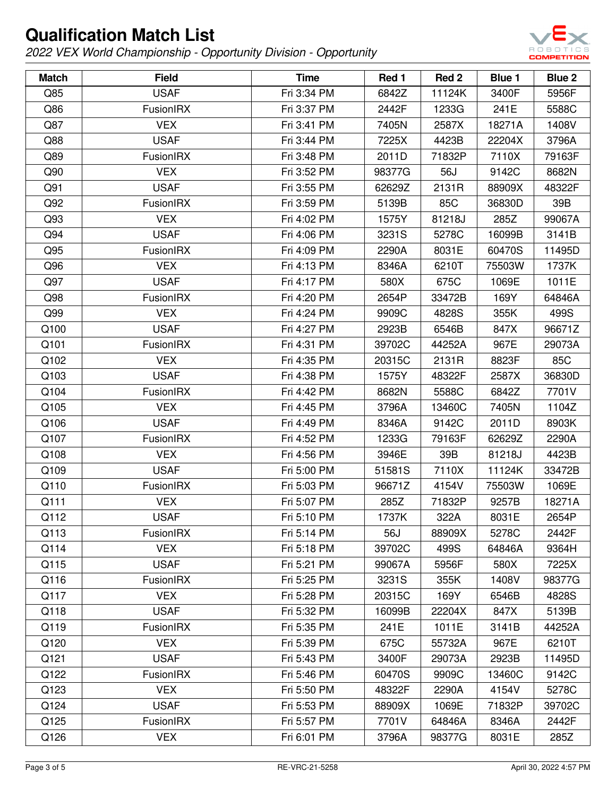

| <b>Match</b> | <b>Field</b>     | <b>Time</b> | Red 1  | Red <sub>2</sub> | Blue 1 | <b>Blue 2</b> |
|--------------|------------------|-------------|--------|------------------|--------|---------------|
| Q85          | <b>USAF</b>      | Fri 3:34 PM | 6842Z  | 11124K           | 3400F  | 5956F         |
| Q86          | <b>FusionIRX</b> | Fri 3:37 PM | 2442F  | 1233G            | 241E   | 5588C         |
| Q87          | <b>VEX</b>       | Fri 3:41 PM | 7405N  | 2587X            | 18271A | 1408V         |
| Q88          | <b>USAF</b>      | Fri 3:44 PM | 7225X  | 4423B            | 22204X | 3796A         |
| Q89          | FusionIRX        | Fri 3:48 PM | 2011D  | 71832P           | 7110X  | 79163F        |
| Q90          | <b>VEX</b>       | Fri 3:52 PM | 98377G | 56J              | 9142C  | 8682N         |
| Q91          | <b>USAF</b>      | Fri 3:55 PM | 62629Z | 2131R            | 88909X | 48322F        |
| Q92          | FusionIRX        | Fri 3:59 PM | 5139B  | 85C              | 36830D | 39B           |
| Q93          | <b>VEX</b>       | Fri 4:02 PM | 1575Y  | 81218J           | 285Z   | 99067A        |
| Q94          | <b>USAF</b>      | Fri 4:06 PM | 3231S  | 5278C            | 16099B | 3141B         |
| Q95          | FusionIRX        | Fri 4:09 PM | 2290A  | 8031E            | 60470S | 11495D        |
| Q96          | <b>VEX</b>       | Fri 4:13 PM | 8346A  | 6210T            | 75503W | 1737K         |
| Q97          | <b>USAF</b>      | Fri 4:17 PM | 580X   | 675C             | 1069E  | 1011E         |
| Q98          | FusionIRX        | Fri 4:20 PM | 2654P  | 33472B           | 169Y   | 64846A        |
| Q99          | <b>VEX</b>       | Fri 4:24 PM | 9909C  | 4828S            | 355K   | 499S          |
| Q100         | <b>USAF</b>      | Fri 4:27 PM | 2923B  | 6546B            | 847X   | 96671Z        |
| Q101         | <b>FusionIRX</b> | Fri 4:31 PM | 39702C | 44252A           | 967E   | 29073A        |
| Q102         | <b>VEX</b>       | Fri 4:35 PM | 20315C | 2131R            | 8823F  | 85C           |
| Q103         | <b>USAF</b>      | Fri 4:38 PM | 1575Y  | 48322F           | 2587X  | 36830D        |
| Q104         | FusionIRX        | Fri 4:42 PM | 8682N  | 5588C            | 6842Z  | 7701V         |
| Q105         | <b>VEX</b>       | Fri 4:45 PM | 3796A  | 13460C           | 7405N  | 1104Z         |
| Q106         | <b>USAF</b>      | Fri 4:49 PM | 8346A  | 9142C            | 2011D  | 8903K         |
| Q107         | FusionIRX        | Fri 4:52 PM | 1233G  | 79163F           | 62629Z | 2290A         |
| Q108         | <b>VEX</b>       | Fri 4:56 PM | 3946E  | 39B              | 81218J | 4423B         |
| Q109         | <b>USAF</b>      | Fri 5:00 PM | 51581S | 7110X            | 11124K | 33472B        |
| Q110         | FusionIRX        | Fri 5:03 PM | 96671Z | 4154V            | 75503W | 1069E         |
| Q111         | <b>VEX</b>       | Fri 5:07 PM | 285Z   | 71832P           | 9257B  | 18271A        |
| Q112         | <b>USAF</b>      | Fri 5:10 PM | 1737K  | 322A             | 8031E  | 2654P         |
| Q113         | FusionIRX        | Fri 5:14 PM | 56J    | 88909X           | 5278C  | 2442F         |
| Q114         | <b>VEX</b>       | Fri 5:18 PM | 39702C | 499S             | 64846A | 9364H         |
| Q115         | <b>USAF</b>      | Fri 5:21 PM | 99067A | 5956F            | 580X   | 7225X         |
| Q116         | FusionIRX        | Fri 5:25 PM | 3231S  | 355K             | 1408V  | 98377G        |
| Q117         | <b>VEX</b>       | Fri 5:28 PM | 20315C | 169Y             | 6546B  | 4828S         |
| Q118         | <b>USAF</b>      | Fri 5:32 PM | 16099B | 22204X           | 847X   | 5139B         |
| Q119         | FusionIRX        | Fri 5:35 PM | 241E   | 1011E            | 3141B  | 44252A        |
| Q120         | <b>VEX</b>       | Fri 5:39 PM | 675C   | 55732A           | 967E   | 6210T         |
| Q121         | <b>USAF</b>      | Fri 5:43 PM | 3400F  | 29073A           | 2923B  | 11495D        |
| Q122         | FusionIRX        | Fri 5:46 PM | 60470S | 9909C            | 13460C | 9142C         |
| Q123         | <b>VEX</b>       | Fri 5:50 PM | 48322F | 2290A            | 4154V  | 5278C         |
| Q124         | <b>USAF</b>      | Fri 5:53 PM | 88909X | 1069E            | 71832P | 39702C        |
| Q125         | FusionIRX        | Fri 5:57 PM | 7701V  | 64846A           | 8346A  | 2442F         |
| Q126         | <b>VEX</b>       | Fri 6:01 PM | 3796A  | 98377G           | 8031E  | 285Z          |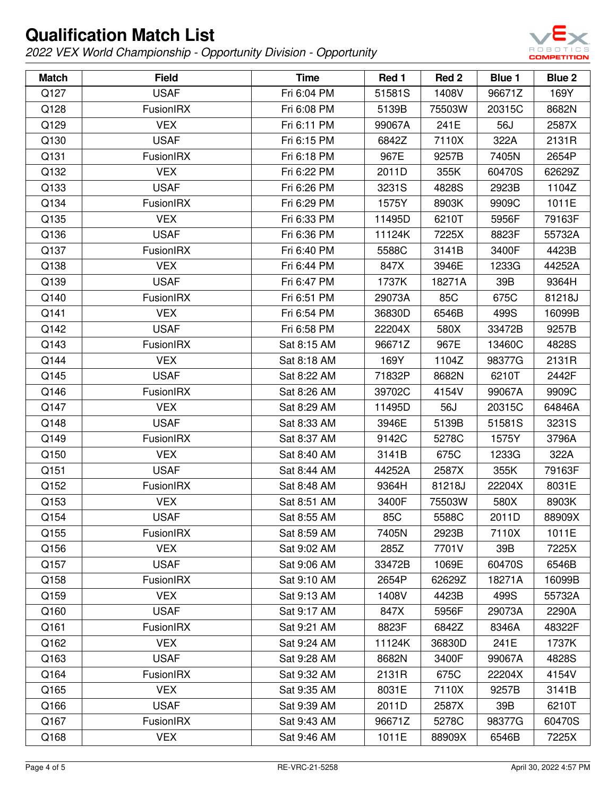

| <b>Match</b> | <b>Field</b>     | <b>Time</b> | Red 1  | Red 2  | Blue 1 | <b>Blue 2</b> |
|--------------|------------------|-------------|--------|--------|--------|---------------|
| Q127         | <b>USAF</b>      | Fri 6:04 PM | 51581S | 1408V  | 96671Z | 169Y          |
| Q128         | <b>FusionIRX</b> | Fri 6:08 PM | 5139B  | 75503W | 20315C | 8682N         |
| Q129         | <b>VEX</b>       | Fri 6:11 PM | 99067A | 241E   | 56J    | 2587X         |
| Q130         | <b>USAF</b>      | Fri 6:15 PM | 6842Z  | 7110X  | 322A   | 2131R         |
| Q131         | <b>FusionIRX</b> | Fri 6:18 PM | 967E   | 9257B  | 7405N  | 2654P         |
| Q132         | <b>VEX</b>       | Fri 6:22 PM | 2011D  | 355K   | 60470S | 62629Z        |
| Q133         | <b>USAF</b>      | Fri 6:26 PM | 3231S  | 4828S  | 2923B  | 1104Z         |
| Q134         | <b>FusionIRX</b> | Fri 6:29 PM | 1575Y  | 8903K  | 9909C  | 1011E         |
| Q135         | <b>VEX</b>       | Fri 6:33 PM | 11495D | 6210T  | 5956F  | 79163F        |
| Q136         | <b>USAF</b>      | Fri 6:36 PM | 11124K | 7225X  | 8823F  | 55732A        |
| Q137         | <b>FusionIRX</b> | Fri 6:40 PM | 5588C  | 3141B  | 3400F  | 4423B         |
| Q138         | <b>VEX</b>       | Fri 6:44 PM | 847X   | 3946E  | 1233G  | 44252A        |
| Q139         | <b>USAF</b>      | Fri 6:47 PM | 1737K  | 18271A | 39B    | 9364H         |
| Q140         | FusionIRX        | Fri 6:51 PM | 29073A | 85C    | 675C   | 81218J        |
| Q141         | <b>VEX</b>       | Fri 6:54 PM | 36830D | 6546B  | 499S   | 16099B        |
| Q142         | <b>USAF</b>      | Fri 6:58 PM | 22204X | 580X   | 33472B | 9257B         |
| Q143         | FusionIRX        | Sat 8:15 AM | 96671Z | 967E   | 13460C | 4828S         |
| Q144         | <b>VEX</b>       | Sat 8:18 AM | 169Y   | 1104Z  | 98377G | 2131R         |
| Q145         | <b>USAF</b>      | Sat 8:22 AM | 71832P | 8682N  | 6210T  | 2442F         |
| Q146         | <b>FusionIRX</b> | Sat 8:26 AM | 39702C | 4154V  | 99067A | 9909C         |
| Q147         | <b>VEX</b>       | Sat 8:29 AM | 11495D | 56J    | 20315C | 64846A        |
| Q148         | <b>USAF</b>      | Sat 8:33 AM | 3946E  | 5139B  | 51581S | 3231S         |
| Q149         | <b>FusionIRX</b> | Sat 8:37 AM | 9142C  | 5278C  | 1575Y  | 3796A         |
| Q150         | <b>VEX</b>       | Sat 8:40 AM | 3141B  | 675C   | 1233G  | 322A          |
| Q151         | <b>USAF</b>      | Sat 8:44 AM | 44252A | 2587X  | 355K   | 79163F        |
| Q152         | <b>FusionIRX</b> | Sat 8:48 AM | 9364H  | 81218J | 22204X | 8031E         |
| Q153         | <b>VEX</b>       | Sat 8:51 AM | 3400F  | 75503W | 580X   | 8903K         |
| Q154         | <b>USAF</b>      | Sat 8:55 AM | 85C    | 5588C  | 2011D  | 88909X        |
| Q155         | <b>FusionIRX</b> | Sat 8:59 AM | 7405N  | 2923B  | 7110X  | 1011E         |
| Q156         | <b>VEX</b>       | Sat 9:02 AM | 285Z   | 7701V  | 39B    | 7225X         |
| Q157         | <b>USAF</b>      | Sat 9:06 AM | 33472B | 1069E  | 60470S | 6546B         |
| Q158         | <b>FusionIRX</b> | Sat 9:10 AM | 2654P  | 62629Z | 18271A | 16099B        |
| Q159         | <b>VEX</b>       | Sat 9:13 AM | 1408V  | 4423B  | 499S   | 55732A        |
| Q160         | <b>USAF</b>      | Sat 9:17 AM | 847X   | 5956F  | 29073A | 2290A         |
| Q161         | <b>FusionIRX</b> | Sat 9:21 AM | 8823F  | 6842Z  | 8346A  | 48322F        |
| Q162         | <b>VEX</b>       | Sat 9:24 AM | 11124K | 36830D | 241E   | 1737K         |
| Q163         | <b>USAF</b>      | Sat 9:28 AM | 8682N  | 3400F  | 99067A | 4828S         |
| Q164         | <b>FusionIRX</b> | Sat 9:32 AM | 2131R  | 675C   | 22204X | 4154V         |
| Q165         | <b>VEX</b>       | Sat 9:35 AM | 8031E  | 7110X  | 9257B  | 3141B         |
| Q166         | <b>USAF</b>      | Sat 9:39 AM | 2011D  | 2587X  | 39B    | 6210T         |
| Q167         | <b>FusionIRX</b> | Sat 9:43 AM | 96671Z | 5278C  | 98377G | 60470S        |
| Q168         | <b>VEX</b>       | Sat 9:46 AM | 1011E  | 88909X | 6546B  | 7225X         |